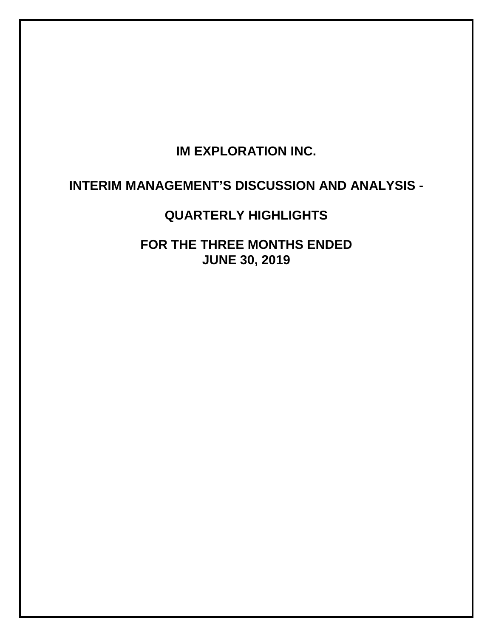# **IM EXPLORATION INC.**

# **INTERIM MANAGEMENT'S DISCUSSION AND ANALYSIS -**

# **QUARTERLY HIGHLIGHTS**

**FOR THE THREE MONTHS ENDED JUNE 30, 2019**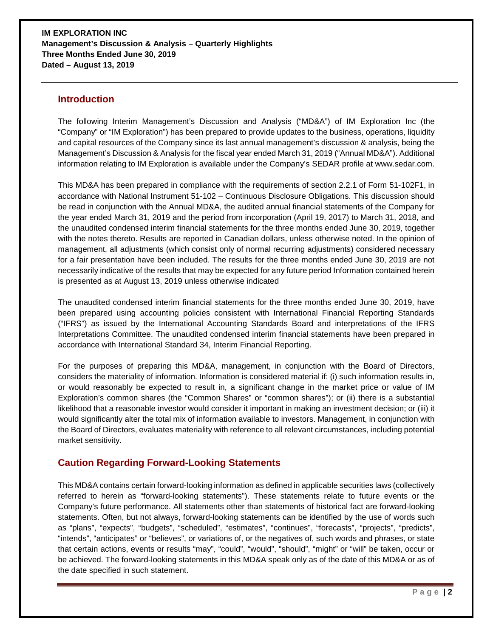### **Introduction**

The following Interim Management's Discussion and Analysis ("MD&A") of IM Exploration Inc (the "Company" or "IM Exploration") has been prepared to provide updates to the business, operations, liquidity and capital resources of the Company since its last annual management's discussion & analysis, being the Management's Discussion & Analysis for the fiscal year ended March 31, 2019 ("Annual MD&A"). Additional information relating to IM Exploration is available under the Company's SEDAR profile at www.sedar.com.

This MD&A has been prepared in compliance with the requirements of section 2.2.1 of Form 51-102F1, in accordance with National Instrument 51-102 – Continuous Disclosure Obligations. This discussion should be read in conjunction with the Annual MD&A, the audited annual financial statements of the Company for the year ended March 31, 2019 and the period from incorporation (April 19, 2017) to March 31, 2018, and the unaudited condensed interim financial statements for the three months ended June 30, 2019, together with the notes thereto. Results are reported in Canadian dollars, unless otherwise noted. In the opinion of management, all adjustments (which consist only of normal recurring adjustments) considered necessary for a fair presentation have been included. The results for the three months ended June 30, 2019 are not necessarily indicative of the results that may be expected for any future period Information contained herein is presented as at August 13, 2019 unless otherwise indicated

The unaudited condensed interim financial statements for the three months ended June 30, 2019, have been prepared using accounting policies consistent with International Financial Reporting Standards ("IFRS") as issued by the International Accounting Standards Board and interpretations of the IFRS Interpretations Committee. The unaudited condensed interim financial statements have been prepared in accordance with International Standard 34, Interim Financial Reporting.

For the purposes of preparing this MD&A, management, in conjunction with the Board of Directors, considers the materiality of information. Information is considered material if: (i) such information results in, or would reasonably be expected to result in, a significant change in the market price or value of IM Exploration's common shares (the "Common Shares" or "common shares"); or (ii) there is a substantial likelihood that a reasonable investor would consider it important in making an investment decision; or (iii) it would significantly alter the total mix of information available to investors. Management, in conjunction with the Board of Directors, evaluates materiality with reference to all relevant circumstances, including potential market sensitivity.

# **Caution Regarding Forward-Looking Statements**

This MD&A contains certain forward-looking information as defined in applicable securities laws (collectively referred to herein as "forward-looking statements"). These statements relate to future events or the Company's future performance. All statements other than statements of historical fact are forward-looking statements. Often, but not always, forward-looking statements can be identified by the use of words such as "plans", "expects", "budgets", "scheduled", "estimates", "continues", "forecasts", "projects", "predicts", "intends", "anticipates" or "believes", or variations of, or the negatives of, such words and phrases, or state that certain actions, events or results "may", "could", "would", "should", "might" or "will" be taken, occur or be achieved. The forward-looking statements in this MD&A speak only as of the date of this MD&A or as of the date specified in such statement.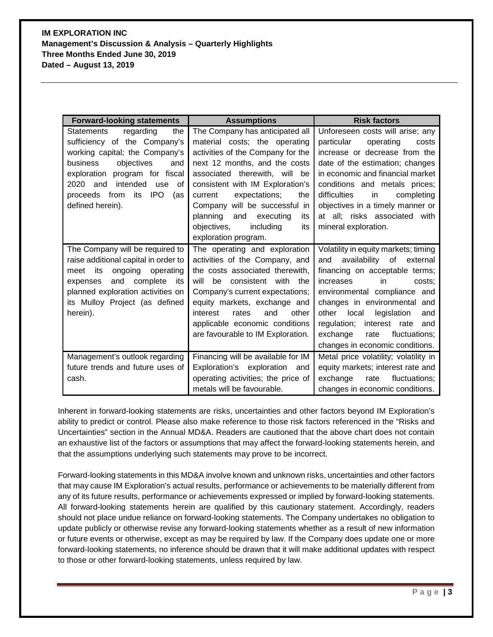| <b>Forward-looking statements</b>         | <b>Assumptions</b>                   | <b>Risk factors</b>                   |  |  |
|-------------------------------------------|--------------------------------------|---------------------------------------|--|--|
| regarding<br>the<br><b>Statements</b>     | The Company has anticipated all      | Unforeseen costs will arise; any      |  |  |
| sufficiency of the Company's              | material costs; the operating        | particular<br>operating<br>costs      |  |  |
| working capital; the Company's            | activities of the Company for the    | increase or decrease from the         |  |  |
| business<br>objectives<br>and             | next 12 months, and the costs        | date of the estimation; changes       |  |  |
| exploration program for fiscal            | associated therewith, will<br>be     | in economic and financial market      |  |  |
| 2020 and<br>intended<br>use<br>οf         | consistent with IM Exploration's     | conditions and metals prices;         |  |  |
| proceeds from<br><b>IPO</b><br>its<br>(as | expectations;<br>current<br>the      | difficulties<br>in<br>completing      |  |  |
| defined herein).                          | will be successful in<br>Company     | objectives in a timely manner or      |  |  |
|                                           | planning<br>and<br>executing<br>its  | at all; risks associated with         |  |  |
|                                           | objectives,<br>including<br>its      | mineral exploration.                  |  |  |
|                                           | exploration program.                 |                                       |  |  |
| The Company will be required to           | The operating and exploration        | Volatility in equity markets; timing  |  |  |
| raise additional capital in order to      | activities of the Company, and       | availability of external<br>and       |  |  |
| ongoing operating<br>meet its             | the costs associated therewith,      | financing on acceptable terms;        |  |  |
| and<br>complete<br>its<br>expenses        | will<br>consistent with<br>the<br>be | increases<br>in<br>costs:             |  |  |
| planned exploration activities on         | Company's current expectations;      | environmental compliance and          |  |  |
| its Mulloy Project (as defined            | equity markets, exchange and         | changes in environmental and          |  |  |
| herein).                                  | other<br>interest<br>rates<br>and    | other<br>local<br>legislation<br>and  |  |  |
|                                           | applicable economic conditions       | regulation;<br>interest rate<br>and   |  |  |
|                                           | are favourable to IM Exploration.    | fluctuations;<br>exchange<br>rate     |  |  |
|                                           |                                      | changes in economic conditions.       |  |  |
| Management's outlook regarding            | Financing will be available for IM   | Metal price volatility; volatility in |  |  |
| future trends and future uses of          | Exploration's exploration<br>and     | equity markets; interest rate and     |  |  |
| cash.                                     | operating activities; the price of   | fluctuations;<br>exchange<br>rate     |  |  |
|                                           | metals will be favourable.           | changes in economic conditions.       |  |  |

Inherent in forward-looking statements are risks, uncertainties and other factors beyond IM Exploration's ability to predict or control. Please also make reference to those risk factors referenced in the "Risks and Uncertainties" section in the Annual MD&A. Readers are cautioned that the above chart does not contain an exhaustive list of the factors or assumptions that may affect the forward-looking statements herein, and that the assumptions underlying such statements may prove to be incorrect.

Forward-looking statements in this MD&A involve known and unknown risks, uncertainties and other factors that may cause IM Exploration's actual results, performance or achievements to be materially different from any of its future results, performance or achievements expressed or implied by forward-looking statements. All forward-looking statements herein are qualified by this cautionary statement. Accordingly, readers should not place undue reliance on forward-looking statements. The Company undertakes no obligation to update publicly or otherwise revise any forward-looking statements whether as a result of new information or future events or otherwise, except as may be required by law. If the Company does update one or more forward-looking statements, no inference should be drawn that it will make additional updates with respect to those or other forward-looking statements, unless required by law.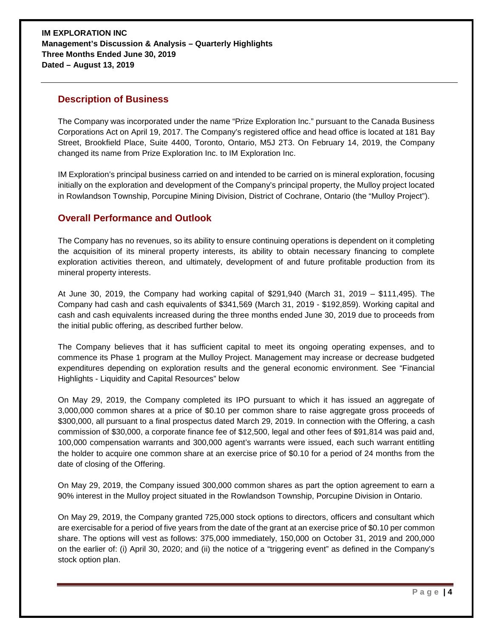## **Description of Business**

The Company was incorporated under the name "Prize Exploration Inc." pursuant to the Canada Business Corporations Act on April 19, 2017. The Company's registered office and head office is located at 181 Bay Street, Brookfield Place, Suite 4400, Toronto, Ontario, M5J 2T3. On February 14, 2019, the Company changed its name from Prize Exploration Inc. to IM Exploration Inc.

IM Exploration's principal business carried on and intended to be carried on is mineral exploration, focusing initially on the exploration and development of the Company's principal property, the Mulloy project located in Rowlandson Township, Porcupine Mining Division, District of Cochrane, Ontario (the "Mulloy Project").

# **Overall Performance and Outlook**

The Company has no revenues, so its ability to ensure continuing operations is dependent on it completing the acquisition of its mineral property interests, its ability to obtain necessary financing to complete exploration activities thereon, and ultimately, development of and future profitable production from its mineral property interests.

At June 30, 2019, the Company had working capital of \$291,940 (March 31, 2019 – \$111,495). The Company had cash and cash equivalents of \$341,569 (March 31, 2019 - \$192,859). Working capital and cash and cash equivalents increased during the three months ended June 30, 2019 due to proceeds from the initial public offering, as described further below.

The Company believes that it has sufficient capital to meet its ongoing operating expenses, and to commence its Phase 1 program at the Mulloy Project. Management may increase or decrease budgeted expenditures depending on exploration results and the general economic environment. See "Financial Highlights - Liquidity and Capital Resources" below

On May 29, 2019, the Company completed its IPO pursuant to which it has issued an aggregate of 3,000,000 common shares at a price of \$0.10 per common share to raise aggregate gross proceeds of \$300,000, all pursuant to a final prospectus dated March 29, 2019. In connection with the Offering, a cash commission of \$30,000, a corporate finance fee of \$12,500, legal and other fees of \$91,814 was paid and, 100,000 compensation warrants and 300,000 agent's warrants were issued, each such warrant entitling the holder to acquire one common share at an exercise price of \$0.10 for a period of 24 months from the date of closing of the Offering.

On May 29, 2019, the Company issued 300,000 common shares as part the option agreement to earn a 90% interest in the Mulloy project situated in the Rowlandson Township, Porcupine Division in Ontario.

On May 29, 2019, the Company granted 725,000 stock options to directors, officers and consultant which are exercisable for a period of five years from the date of the grant at an exercise price of \$0.10 per common share. The options will vest as follows: 375,000 immediately, 150,000 on October 31, 2019 and 200,000 on the earlier of: (i) April 30, 2020; and (ii) the notice of a "triggering event" as defined in the Company's stock option plan.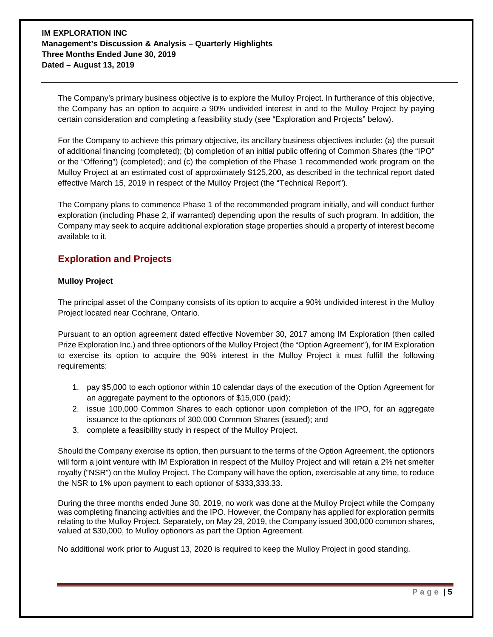The Company's primary business objective is to explore the Mulloy Project. In furtherance of this objective, the Company has an option to acquire a 90% undivided interest in and to the Mulloy Project by paying certain consideration and completing a feasibility study (see "Exploration and Projects" below).

For the Company to achieve this primary objective, its ancillary business objectives include: (a) the pursuit of additional financing (completed); (b) completion of an initial public offering of Common Shares (the "IPO" or the "Offering") (completed); and (c) the completion of the Phase 1 recommended work program on the Mulloy Project at an estimated cost of approximately \$125,200, as described in the technical report dated effective March 15, 2019 in respect of the Mulloy Project (the "Technical Report").

The Company plans to commence Phase 1 of the recommended program initially, and will conduct further exploration (including Phase 2, if warranted) depending upon the results of such program. In addition, the Company may seek to acquire additional exploration stage properties should a property of interest become available to it.

# **Exploration and Projects**

#### **Mulloy Project**

The principal asset of the Company consists of its option to acquire a 90% undivided interest in the Mulloy Project located near Cochrane, Ontario.

Pursuant to an option agreement dated effective November 30, 2017 among IM Exploration (then called Prize Exploration Inc.) and three optionors of the Mulloy Project (the "Option Agreement"), for IM Exploration to exercise its option to acquire the 90% interest in the Mulloy Project it must fulfill the following requirements:

- 1. pay \$5,000 to each optionor within 10 calendar days of the execution of the Option Agreement for an aggregate payment to the optionors of \$15,000 (paid);
- 2. issue 100,000 Common Shares to each optionor upon completion of the IPO, for an aggregate issuance to the optionors of 300,000 Common Shares (issued); and
- 3. complete a feasibility study in respect of the Mulloy Project.

Should the Company exercise its option, then pursuant to the terms of the Option Agreement, the optionors will form a joint venture with IM Exploration in respect of the Mulloy Project and will retain a 2% net smelter royalty ("NSR") on the Mulloy Project. The Company will have the option, exercisable at any time, to reduce the NSR to 1% upon payment to each optionor of \$333,333.33.

During the three months ended June 30, 2019, no work was done at the Mulloy Project while the Company was completing financing activities and the IPO. However, the Company has applied for exploration permits relating to the Mulloy Project. Separately, on May 29, 2019, the Company issued 300,000 common shares, valued at \$30,000, to Mulloy optionors as part the Option Agreement.

No additional work prior to August 13, 2020 is required to keep the Mulloy Project in good standing.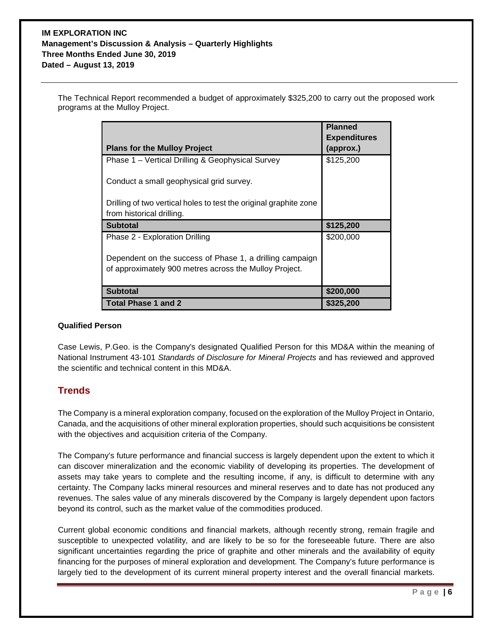The Technical Report recommended a budget of approximately \$325,200 to carry out the proposed work programs at the Mulloy Project.

|                                                                                                | <b>Planned</b>                   |
|------------------------------------------------------------------------------------------------|----------------------------------|
| <b>Plans for the Mulloy Project</b>                                                            | <b>Expenditures</b><br>(approx.) |
| Phase 1 – Vertical Drilling & Geophysical Survey                                               | \$125,200                        |
| Conduct a small geophysical grid survey.                                                       |                                  |
| Drilling of two vertical holes to test the original graphite zone<br>from historical drilling. |                                  |
| <b>Subtotal</b>                                                                                | \$125,200                        |
| Phase 2 - Exploration Drilling                                                                 | \$200,000                        |
| Dependent on the success of Phase 1, a drilling campaign                                       |                                  |
| of approximately 900 metres across the Mulloy Project.                                         |                                  |
| <b>Subtotal</b>                                                                                | \$200,000                        |
| Total Phase 1 and 2                                                                            | \$325,200                        |

#### **Qualified Person**

Case Lewis, P.Geo. is the Company's designated Qualified Person for this MD&A within the meaning of National Instrument 43-101 *Standards of Disclosure for Mineral Projects* and has reviewed and approved the scientific and technical content in this MD&A.

# **Trends**

The Company is a mineral exploration company, focused on the exploration of the Mulloy Project in Ontario, Canada, and the acquisitions of other mineral exploration properties, should such acquisitions be consistent with the objectives and acquisition criteria of the Company.

The Company's future performance and financial success is largely dependent upon the extent to which it can discover mineralization and the economic viability of developing its properties. The development of assets may take years to complete and the resulting income, if any, is difficult to determine with any certainty. The Company lacks mineral resources and mineral reserves and to date has not produced any revenues. The sales value of any minerals discovered by the Company is largely dependent upon factors beyond its control, such as the market value of the commodities produced.

Current global economic conditions and financial markets, although recently strong, remain fragile and susceptible to unexpected volatility, and are likely to be so for the foreseeable future. There are also significant uncertainties regarding the price of graphite and other minerals and the availability of equity financing for the purposes of mineral exploration and development. The Company's future performance is largely tied to the development of its current mineral property interest and the overall financial markets.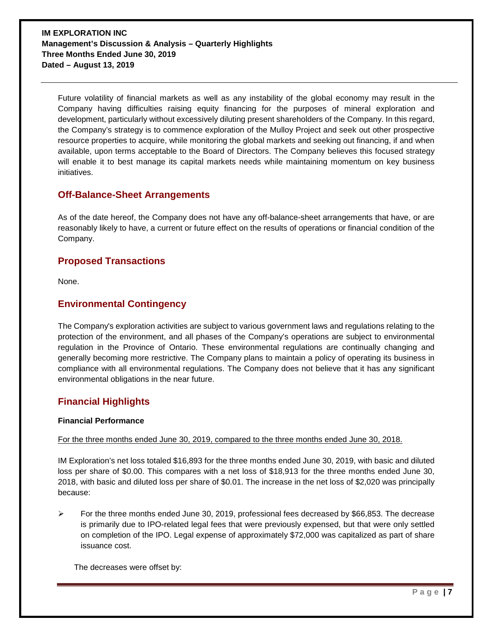Future volatility of financial markets as well as any instability of the global economy may result in the Company having difficulties raising equity financing for the purposes of mineral exploration and development, particularly without excessively diluting present shareholders of the Company. In this regard, the Company's strategy is to commence exploration of the Mulloy Project and seek out other prospective resource properties to acquire, while monitoring the global markets and seeking out financing, if and when available, upon terms acceptable to the Board of Directors. The Company believes this focused strategy will enable it to best manage its capital markets needs while maintaining momentum on key business initiatives.

## **Off-Balance-Sheet Arrangements**

As of the date hereof, the Company does not have any off-balance-sheet arrangements that have, or are reasonably likely to have, a current or future effect on the results of operations or financial condition of the Company.

## **Proposed Transactions**

None.

## **Environmental Contingency**

The Company's exploration activities are subject to various government laws and regulations relating to the protection of the environment, and all phases of the Company's operations are subject to environmental regulation in the Province of Ontario. These environmental regulations are continually changing and generally becoming more restrictive. The Company plans to maintain a policy of operating its business in compliance with all environmental regulations. The Company does not believe that it has any significant environmental obligations in the near future.

# **Financial Highlights**

#### **Financial Performance**

#### For the three months ended June 30, 2019, compared to the three months ended June 30, 2018.

IM Exploration's net loss totaled \$16,893 for the three months ended June 30, 2019, with basic and diluted loss per share of \$0.00. This compares with a net loss of \$18,913 for the three months ended June 30, 2018, with basic and diluted loss per share of \$0.01. The increase in the net loss of \$2,020 was principally because:

 $\triangleright$  For the three months ended June 30, 2019, professional fees decreased by \$66,853. The decrease is primarily due to IPO-related legal fees that were previously expensed, but that were only settled on completion of the IPO. Legal expense of approximately \$72,000 was capitalized as part of share issuance cost.

The decreases were offset by: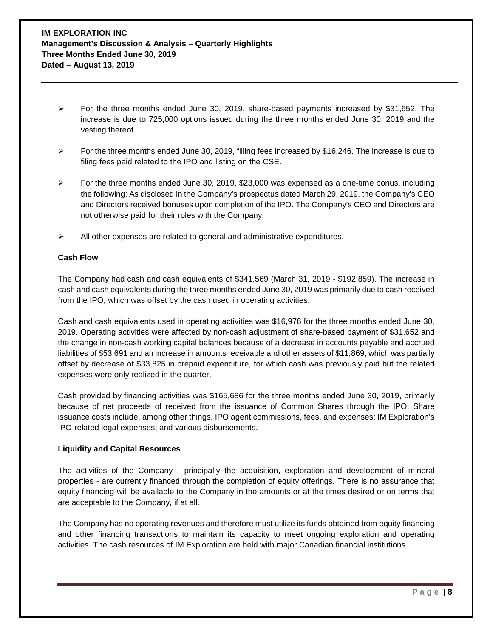- $\triangleright$  For the three months ended June 30, 2019, share-based payments increased by \$31,652. The increase is due to 725,000 options issued during the three months ended June 30, 2019 and the vesting thereof.
- $\triangleright$  For the three months ended June 30, 2019, filling fees increased by \$16,246. The increase is due to filing fees paid related to the IPO and listing on the CSE.
- $\triangleright$  For the three months ended June 30, 2019, \$23,000 was expensed as a one-time bonus, including the following: As disclosed in the Company's prospectus dated March 29, 2019, the Company's CEO and Directors received bonuses upon completion of the IPO. The Company's CEO and Directors are not otherwise paid for their roles with the Company.
- $\triangleright$  All other expenses are related to general and administrative expenditures.

#### **Cash Flow**

The Company had cash and cash equivalents of \$341,569 (March 31, 2019 - \$192,859). The increase in cash and cash equivalents during the three months ended June 30, 2019 was primarily due to cash received from the IPO, which was offset by the cash used in operating activities.

Cash and cash equivalents used in operating activities was \$16,976 for the three months ended June 30, 2019. Operating activities were affected by non-cash adjustment of share-based payment of \$31,652 and the change in non-cash working capital balances because of a decrease in accounts payable and accrued liabilities of \$53,691 and an increase in amounts receivable and other assets of \$11,869; which was partially offset by decrease of \$33,825 in prepaid expenditure, for which cash was previously paid but the related expenses were only realized in the quarter.

Cash provided by financing activities was \$165,686 for the three months ended June 30, 2019, primarily because of net proceeds of received from the issuance of Common Shares through the IPO. Share issuance costs include, among other things, IPO agent commissions, fees, and expenses; IM Exploration's IPO-related legal expenses; and various disbursements.

#### **Liquidity and Capital Resources**

The activities of the Company - principally the acquisition, exploration and development of mineral properties - are currently financed through the completion of equity offerings. There is no assurance that equity financing will be available to the Company in the amounts or at the times desired or on terms that are acceptable to the Company, if at all.

The Company has no operating revenues and therefore must utilize its funds obtained from equity financing and other financing transactions to maintain its capacity to meet ongoing exploration and operating activities. The cash resources of IM Exploration are held with major Canadian financial institutions.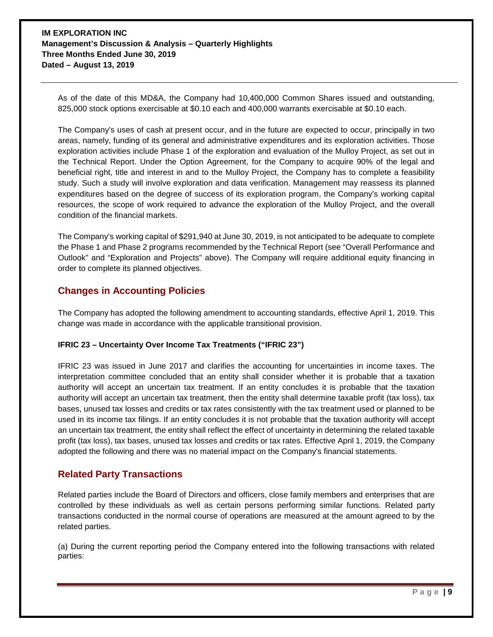As of the date of this MD&A, the Company had 10,400,000 Common Shares issued and outstanding, 825,000 stock options exercisable at \$0.10 each and 400,000 warrants exercisable at \$0.10 each.

The Company's uses of cash at present occur, and in the future are expected to occur, principally in two areas, namely, funding of its general and administrative expenditures and its exploration activities. Those exploration activities include Phase 1 of the exploration and evaluation of the Mulloy Project, as set out in the Technical Report. Under the Option Agreement, for the Company to acquire 90% of the legal and beneficial right, title and interest in and to the Mulloy Project, the Company has to complete a feasibility study. Such a study will involve exploration and data verification. Management may reassess its planned expenditures based on the degree of success of its exploration program, the Company's working capital resources, the scope of work required to advance the exploration of the Mulloy Project, and the overall condition of the financial markets.

The Company's working capital of \$291,940 at June 30, 2019, is not anticipated to be adequate to complete the Phase 1 and Phase 2 programs recommended by the Technical Report (see "Overall Performance and Outlook" and "Exploration and Projects" above). The Company will require additional equity financing in order to complete its planned objectives.

# **Changes in Accounting Policies**

The Company has adopted the following amendment to accounting standards, effective April 1, 2019. This change was made in accordance with the applicable transitional provision.

#### **IFRIC 23 – Uncertainty Over Income Tax Treatments ("IFRIC 23")**

IFRIC 23 was issued in June 2017 and clarifies the accounting for uncertainties in income taxes. The interpretation committee concluded that an entity shall consider whether it is probable that a taxation authority will accept an uncertain tax treatment. If an entity concludes it is probable that the taxation authority will accept an uncertain tax treatment, then the entity shall determine taxable profit (tax loss), tax bases, unused tax losses and credits or tax rates consistently with the tax treatment used or planned to be used in its income tax filings. If an entity concludes it is not probable that the taxation authority will accept an uncertain tax treatment, the entity shall reflect the effect of uncertainty in determining the related taxable profit (tax loss), tax bases, unused tax losses and credits or tax rates. Effective April 1, 2019, the Company adopted the following and there was no material impact on the Company's financial statements.

# **Related Party Transactions**

Related parties include the Board of Directors and officers, close family members and enterprises that are controlled by these individuals as well as certain persons performing similar functions. Related party transactions conducted in the normal course of operations are measured at the amount agreed to by the related parties.

(a) During the current reporting period the Company entered into the following transactions with related parties: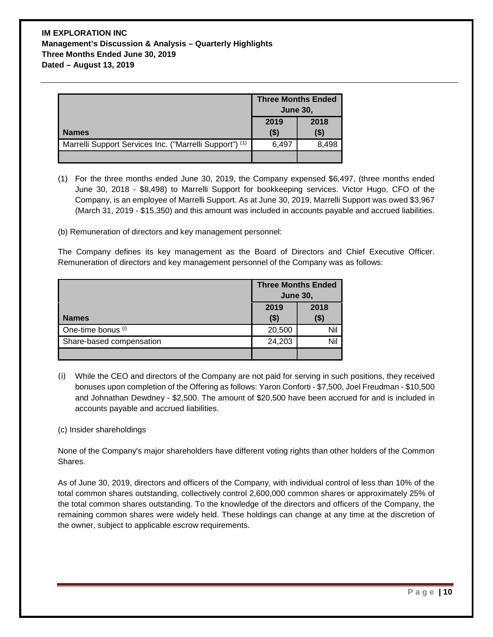|                                                         | <b>Three Months Ended</b><br><b>June 30.</b> |                |
|---------------------------------------------------------|----------------------------------------------|----------------|
| <b>Names</b>                                            | 2019<br>$($ \$)                              | 2018<br>( \$ ) |
| Marrelli Support Services Inc. ("Marrelli Support") (1) | 6,497                                        | 8,498          |
|                                                         |                                              |                |

(1) For the three months ended June 30, 2019, the Company expensed \$6,497, (three months ended June 30, 2018 - \$8,498) to Marrelli Support for bookkeeping services. Victor Hugo, CFO of the Company, is an employee of Marrelli Support. As at June 30, 2019, Marrelli Support was owed \$3,967 (March 31, 2019 - \$15,350) and this amount was included in accounts payable and accrued liabilities.

(b) Remuneration of directors and key management personnel:

The Company defines its key management as the Board of Directors and Chief Executive Officer. Remuneration of directors and key management personnel of the Company was as follows:

|                          | <b>Three Months Ended</b> |        |
|--------------------------|---------------------------|--------|
|                          | <b>June 30,</b>           |        |
|                          | 2019                      | 2018   |
| <b>Names</b>             | ( \$)                     | ( \$ ) |
| One-time bonus (i)       | 20,500                    | Nil    |
| Share-based compensation | 24,203                    | Nil    |
|                          |                           |        |

(i) While the CEO and directors of the Company are not paid for serving in such positions, they received bonuses upon completion of the Offering as follows: Yaron Conforti - \$7,500, Joel Freudman - \$10,500 and Johnathan Dewdney - \$2,500. The amount of \$20,500 have been accrued for and is included in accounts payable and accrued liabilities.

#### (c) Insider shareholdings

None of the Company's major shareholders have different voting rights than other holders of the Common Shares.

As of June 30, 2019, directors and officers of the Company, with individual control of less than 10% of the total common shares outstanding, collectively control 2,600,000 common shares or approximately 25% of the total common shares outstanding. To the knowledge of the directors and officers of the Company, the remaining common shares were widely held. These holdings can change at any time at the discretion of the owner, subject to applicable escrow requirements.